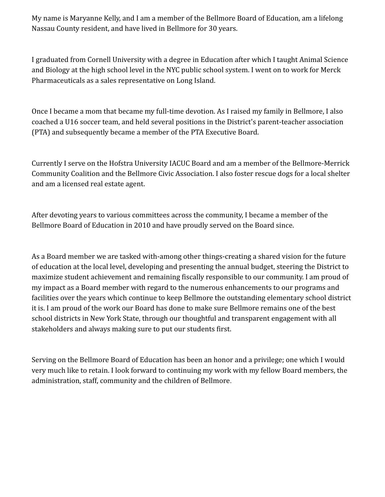My name is Maryanne Kelly, and I am a member of the Bellmore Board of Education, am a lifelong Nassau County resident, and have lived in Bellmore for 30 years.

I graduated from Cornell University with a degree in Education after which I taught Animal Science and Biology at the high school level in the NYC public school system. I went on to work for Merck Pharmaceuticals as a sales representative on Long Island.

Once I became a mom that became my full-time de*v*otion. As I raised my family in Bellmore, I also coached a U16 soccer team, and held several positions in the District's parent-teacher association (PTA) and subsequently became a member of the PTA Executive Board.

Currently I serve on the Hofstra University IACUC Board and am a member of the Bellmore-Merrick Community Coalition and the Bellmore Civic Association. I also foster rescue dogs for a local shelter and am a licensed real estate agent.

After devoting years to various committees across the community, I became a member of the Bellmore Board of Education in 2010 and have proudly served on the Board since.

As a Board member we are tasked with-among other things-creating a shared vision for the future of education at the local level, developing and presenting the annual budget, steering the District to maximize student achievement and remaining fiscally responsible to our community. I am proud of my impact as a Board member with regard to the numerous enhancements to our programs and facilities over the years which continue to keep Bellmore the outstanding elementary school district it is. I am proud of the work our Board has done to make sure Bellmore remains one of the best school districts in New York State, through our thoughtful and transparent engagement with all stakeholders and always making sure to put our students first.

Serving on the Bellmore Board of Education has been an honor and a privilege; one which I would very much like to retain. I look forward to continuing my work with my fellow Board members, the administration, staff, community and the children of Bellmore.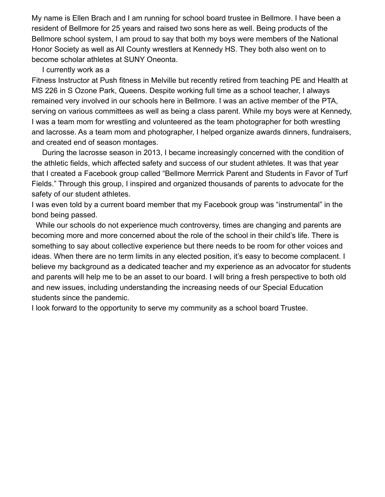My name is Ellen Brach and I am running for school board trustee in Bellmore. I have been a resident of Bellmore for 25 years and raised two sons here as well. Being products of the Bellmore school system, I am proud to say that both my boys were members of the National Honor Society as well as All County wrestlers at Kennedy HS. They both also went on to become scholar athletes at SUNY Oneonta.

I currently work as a

Fitness Instructor at Push fitness in Melville but recently retired from teaching PE and Health at MS 226 in S Ozone Park, Queens. Despite working full time as a school teacher, I always remained very involved in our schools here in Bellmore. I was an active member of the PTA, serving on various committees as well as being a class parent. While my boys were at Kennedy, I was a team mom for wrestling and volunteered as the team photographer for both wrestling and lacrosse. As a team mom and photographer, I helped organize awards dinners, fundraisers, and created end of season montages.

During the lacrosse season in 2013, I became increasingly concerned with the condition of the athletic fields, which affected safety and success of our student athletes. It was that year that I created a Facebook group called "Bellmore Merrrick Parent and Students in Favor of Turf Fields." Through this group, I inspired and organized thousands of parents to advocate for the safety of our student athletes.

I was even told by a current board member that my Facebook group was "instrumental" in the bond being passed.

While our schools do not experience much controversy, times are changing and parents are becoming more and more concerned about the role of the school in their child's life. There is something to say about collective experience but there needs to be room for other voices and ideas. When there are no term limits in any elected position, it's easy to become complacent. I believe my background as a dedicated teacher and my experience as an advocator for students and parents will help me to be an asset to our board. I will bring a fresh perspective to both old and new issues, including understanding the increasing needs of our Special Education students since the pandemic.

I look forward to the opportunity to serve my community as a school board Trustee.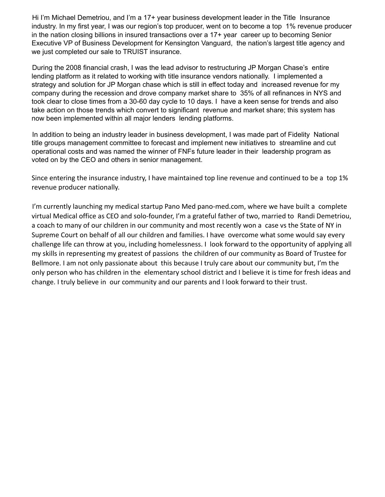Hi I'm Michael Demetriou, and I'm a 17+ year business development leader in the Title Insurance industry. In my first year, I was our region's top producer, went on to become a top 1% revenue producer in the nation closing billions in insured transactions over a 17+ year career up to becoming Senior Executive VP of Business Development for Kensington Vanguard, the nation's largest title agency and we just completed our sale to TRUIST insurance.

During the 2008 financial crash, I was the lead advisor to restructuring JP Morgan Chase's entire lending platform as it related to working with title insurance vendors nationally. I implemented a strategy and solution for JP Morgan chase which is still in effect today and increased revenue for my company during the recession and drove company market share to 35% of all refinances in NYS and took clear to close times from a 30-60 day cycle to 10 days. I have a keen sense for trends and also take action on those trends which convert to significant revenue and market share; this system has now been implemented within all major lenders lending platforms.

In addition to being an industry leader in business development, I was made part of Fidelity National title groups management committee to forecast and implement new initiatives to streamline and cut operational costs and was named the winner of FNFs future leader in their leadership program as voted on by the CEO and others in senior management.

Since entering the insurance industry, I have maintained top line revenue and continued to be a top 1% revenue producer nationally.

I'm currently launching my medical startup Pano Med pano-med.com, where we have built a complete virtual Medical office as CEO and solo-founder, I'm a grateful father of two, married to Randi Demetriou, a coach to many of our children in our community and most recently won a case vs the State of NY in Supreme Court on behalf of all our children and families. I have overcome what some would say every challenge life can throw at you, including homelessness. I look forward to the opportunity of applying all my skills in representing my greatest of passions the children of our community as Board of Trustee for Bellmore. I am not only passionate about this because I truly care about our community but, I'm the only person who has children in the elementary school district and I believe it is time for fresh ideas and change. I truly believe in our community and our parents and I look forward to their trust.